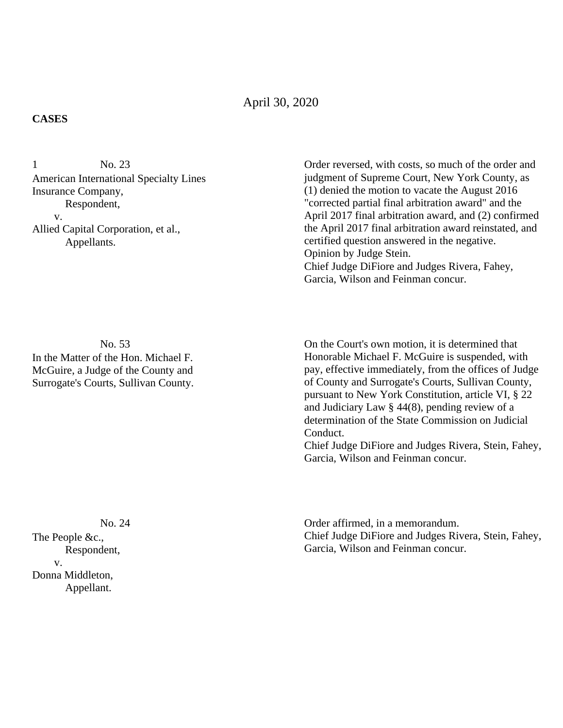## April 30, 2020

## **CASES**

No. 23 American International Specialty Lines Insurance Company, Respondent, v. Allied Capital Corporation, et al., Appellants. 1

No. 53

In the Matter of the Hon. Michael F. McGuire, a Judge of the County and Surrogate's Courts, Sullivan County. Order reversed, with costs, so much of the order and judgment of Supreme Court, New York County, as (1) denied the motion to vacate the August 2016 "corrected partial final arbitration award" and the April 2017 final arbitration award, and (2) confirmed the April 2017 final arbitration award reinstated, and certified question answered in the negative. Opinion by Judge Stein. Chief Judge DiFiore and Judges Rivera, Fahey, Garcia, Wilson and Feinman concur.

On the Court's own motion, it is determined that Honorable Michael F. McGuire is suspended, with pay, effective immediately, from the offices of Judge of County and Surrogate's Courts, Sullivan County, pursuant to New York Constitution, article VI, § 22 and Judiciary Law § 44(8), pending review of a determination of the State Commission on Judicial Conduct.

Chief Judge DiFiore and Judges Rivera, Stein, Fahey, Garcia, Wilson and Feinman concur.

Order affirmed, in a memorandum. Chief Judge DiFiore and Judges Rivera, Stein, Fahey, Garcia, Wilson and Feinman concur.

No. 24 The People &c., Respondent, v. Donna Middleton, Appellant.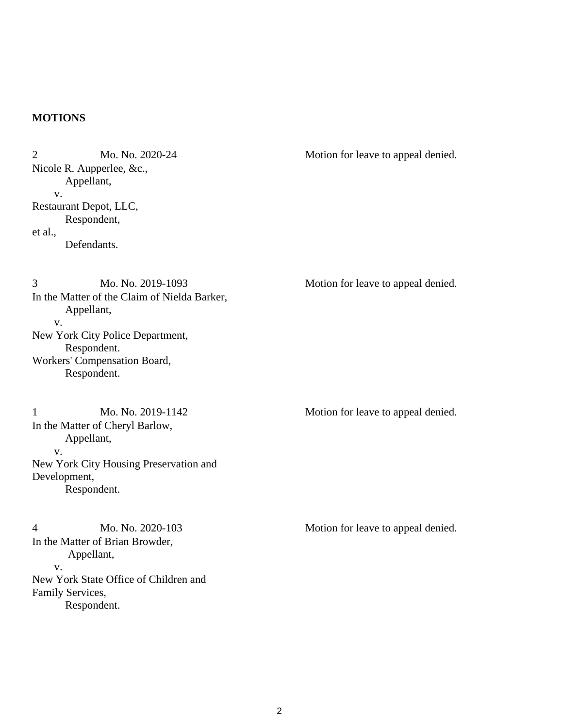## **MOTIONS**

Mo. No. 2020-24 Nicole R. Aupperlee, &c., Appellant, v. Restaurant Depot, LLC, Respondent, et al., Defendants. 2 Mo. No. 2020-24 Motion for leave to appeal denied. Mo. No. 2019-1093 In the Matter of the Claim of Nielda Barker, Appellant, v. New York City Police Department, Respondent. Workers' Compensation Board, Respondent. 3 Mo. No. 2019-1093 Motion for leave to appeal denied. Mo. No. 2019-1142 In the Matter of Cheryl Barlow, Appellant, v. New York City Housing Preservation and Development, Respondent. 1 Mo. No. 2019-1142 Motion for leave to appeal denied. Mo. No. 2020-103 In the Matter of Brian Browder, Appellant, v. New York State Office of Children and Family Services, Respondent. 4 Mo. No. 2020-103 Motion for leave to appeal denied.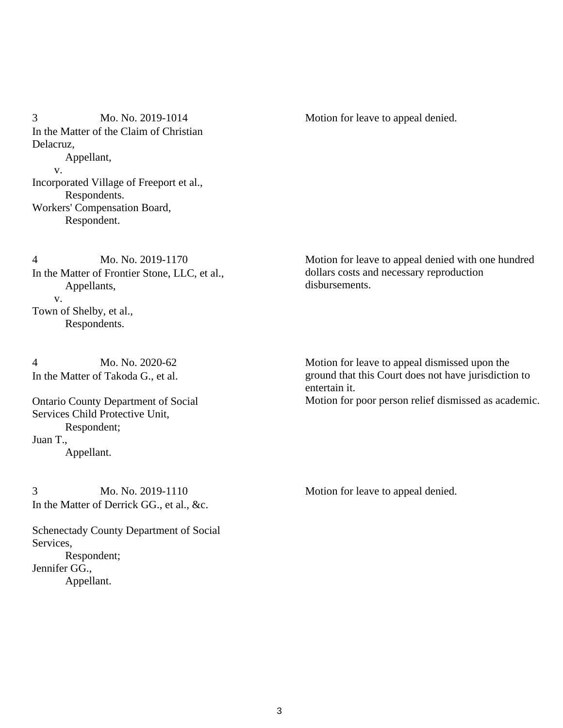Mo. No. 2019-1014 In the Matter of the Claim of Christian Delacruz, Appellant, v. Incorporated Village of Freeport et al., Respondents. Workers' Compensation Board, Respondent. 3 Mo. No. 2019-1014 Motion for leave to appeal denied.

Mo. No. 2019-1170 In the Matter of Frontier Stone, LLC, et al., Appellants, v. Town of Shelby, et al., Respondents. 4

Mo. No. 2020-62 In the Matter of Takoda G., et al. 4

Ontario County Department of Social Services Child Protective Unit, Respondent; Juan T., Appellant.

Mo. No. 2019-1110 In the Matter of Derrick GG., et al., &c. 3 Mo. No. 2019-1110 Motion for leave to appeal denied.

Schenectady County Department of Social Services, Respondent; Jennifer GG., Appellant.

Motion for leave to appeal denied with one hundred dollars costs and necessary reproduction disbursements.

Motion for leave to appeal dismissed upon the ground that this Court does not have jurisdiction to entertain it. Motion for poor person relief dismissed as academic.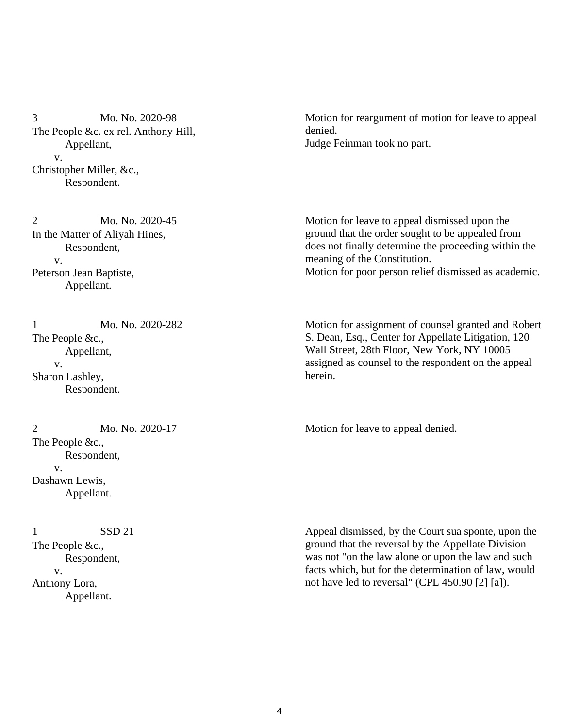Mo. No. 2020-98 The People &c. ex rel. Anthony Hill, Appellant, v. Christopher Miller, &c., Respondent. 3

Mo. No. 2020-45 In the Matter of Aliyah Hines, Respondent, v. Peterson Jean Baptiste, Appellant. 2

Mo. No. 2020-282 The People &c., Appellant, v. Sharon Lashley, Respondent. 1

Mo. No. 2020-17 The People &c., Respondent, v. Dashawn Lewis, Appellant.

SSD 21 The People &c., Respondent, v. Anthony Lora, Appellant. 1

Motion for reargument of motion for leave to appeal denied. Judge Feinman took no part.

Motion for leave to appeal dismissed upon the ground that the order sought to be appealed from does not finally determine the proceeding within the meaning of the Constitution. Motion for poor person relief dismissed as academic.

Motion for assignment of counsel granted and Robert S. Dean, Esq., Center for Appellate Litigation, 120 Wall Street, 28th Floor, New York, NY 10005 assigned as counsel to the respondent on the appeal herein.

2 Mo. No. 2020-17 Motion for leave to appeal denied.

Appeal dismissed, by the Court sua sponte, upon the ground that the reversal by the Appellate Division was not "on the law alone or upon the law and such facts which, but for the determination of law, would not have led to reversal" (CPL 450.90 [2] [a]).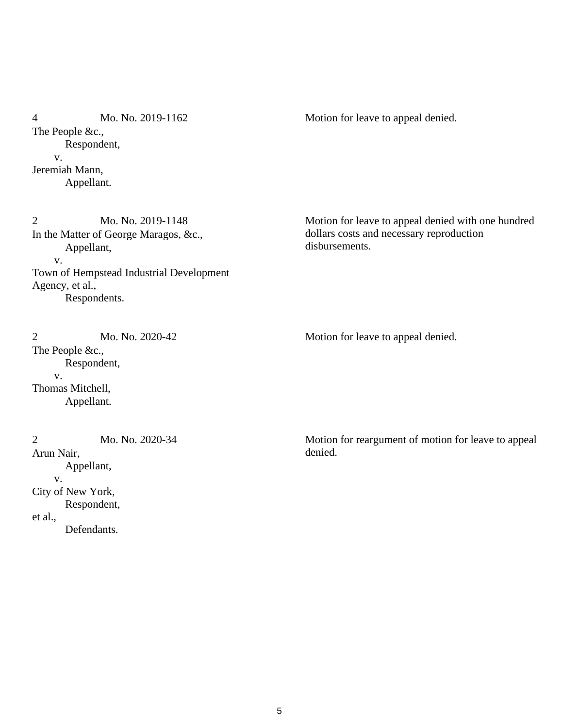Mo. No. 2019-1162 The People &c., Respondent, v. Jeremiah Mann, Appellant. 4 Mo. No. 2019-1162 Motion for leave to appeal denied.

Mo. No. 2019-1148 In the Matter of George Maragos, &c., Appellant, v. Town of Hempstead Industrial Development Agency, et al., Respondents. 2

Mo. No. 2020-42 The People &c., Respondent, v. Thomas Mitchell, Appellant. 2 Mo. No. 2020-42 Motion for leave to appeal denied.

Mo. No. 2020-34 Arun Nair, Appellant, v. City of New York, Respondent, et al., Defendants. 2

Motion for leave to appeal denied with one hundred dollars costs and necessary reproduction disbursements.

Motion for reargument of motion for leave to appeal denied.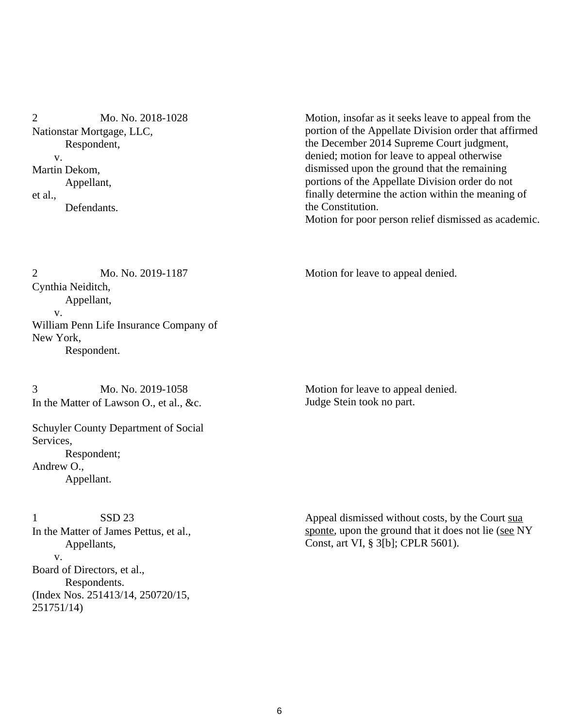Mo. No. 2018-1028 Nationstar Mortgage, LLC, Respondent, v. Martin Dekom, Appellant, et al., Defendants. 2

Motion, insofar as it seeks leave to appeal from the portion of the Appellate Division order that affirmed the December 2014 Supreme Court judgment, denied; motion for leave to appeal otherwise dismissed upon the ground that the remaining portions of the Appellate Division order do not finally determine the action within the meaning of the Constitution. Motion for poor person relief dismissed as academic.

Mo. No. 2019-1187 Cynthia Neiditch, Appellant, v. William Penn Life Insurance Company of New York, Respondent. 2 Mo. No. 2019-1187 Motion for leave to appeal denied.

Mo. No. 2019-1058 In the Matter of Lawson O., et al., &c. 3

Schuyler County Department of Social Services, Respondent; Andrew O., Appellant.

SSD 23 In the Matter of James Pettus, et al., Appellants, v. Board of Directors, et al., Respondents. (Index Nos. 251413/14, 250720/15, 251751/14) 1

Motion for leave to appeal denied. Judge Stein took no part.

Appeal dismissed without costs, by the Court sua sponte, upon the ground that it does not lie (see NY Const, art VI, § 3[b]; CPLR 5601).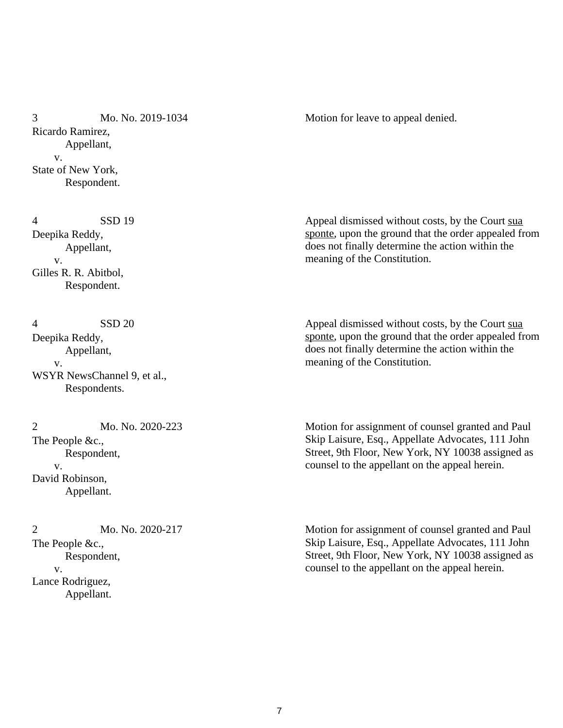Mo. No. 2019-1034 Ricardo Ramirez, Appellant, v. State of New York, Respondent. 3 Mo. No. 2019-1034 Motion for leave to appeal denied.

SSD 19 Deepika Reddy, Appellant, v. Gilles R. R. Abitbol, Respondent. 4

SSD 20 Deepika Reddy, Appellant, v. WSYR NewsChannel 9, et al., Respondents. 4

Mo. No. 2020-223 The People &c., Respondent, v. David Robinson, Appellant.  $\overline{2}$ 

Mo. No. 2020-217 The People &c., Respondent, v. Lance Rodriguez, Appellant. 2

Appeal dismissed without costs, by the Court sua sponte, upon the ground that the order appealed from does not finally determine the action within the meaning of the Constitution.

Appeal dismissed without costs, by the Court sua sponte, upon the ground that the order appealed from does not finally determine the action within the meaning of the Constitution.

Motion for assignment of counsel granted and Paul Skip Laisure, Esq., Appellate Advocates, 111 John Street, 9th Floor, New York, NY 10038 assigned as counsel to the appellant on the appeal herein.

Motion for assignment of counsel granted and Paul Skip Laisure, Esq., Appellate Advocates, 111 John Street, 9th Floor, New York, NY 10038 assigned as counsel to the appellant on the appeal herein.